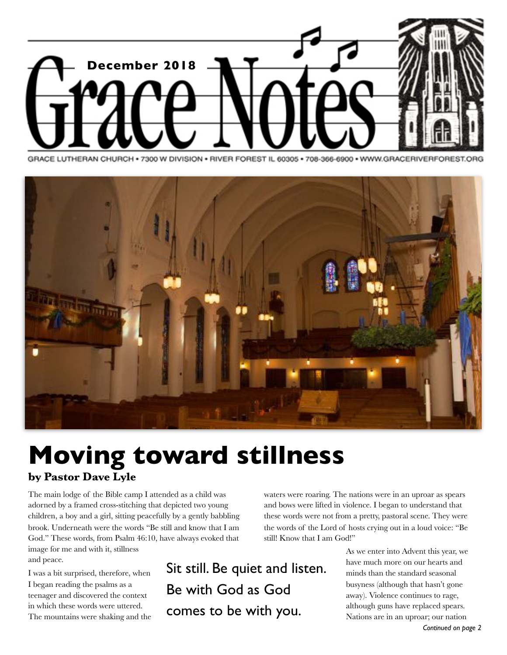

GRACE LUTHERAN CHURCH · 7300 W DIVISION · RIVER FOREST IL 60305 · 708-366-6900 · WWW.GRACERIVERFOREST.ORG



# **Moving toward stillness by Pastor Dave Lyle**

The main lodge of the Bible camp I attended as a child was adorned by a framed cross-stitching that depicted two young children, a boy and a girl, sitting peacefully by a gently babbling brook. Underneath were the words "Be still and know that I am God." These words, from Psalm 46:10, have always evoked that image for me and with it, stillness and peace.

I was a bit surprised, therefore, when I began reading the psalms as a teenager and discovered the context in which these words were uttered. The mountains were shaking and the Sit still. Be quiet and listen. Be with God as God comes to be with you.

waters were roaring. The nations were in an uproar as spears and bows were lifted in violence. I began to understand that these words were not from a pretty, pastoral scene. They were the words of the Lord of hosts crying out in a loud voice: "Be still! Know that I am God!"

> As we enter into Advent this year, we have much more on our hearts and minds than the standard seasonal busyness (although that hasn't gone away). Violence continues to rage, although guns have replaced spears. Nations are in an uproar; our nation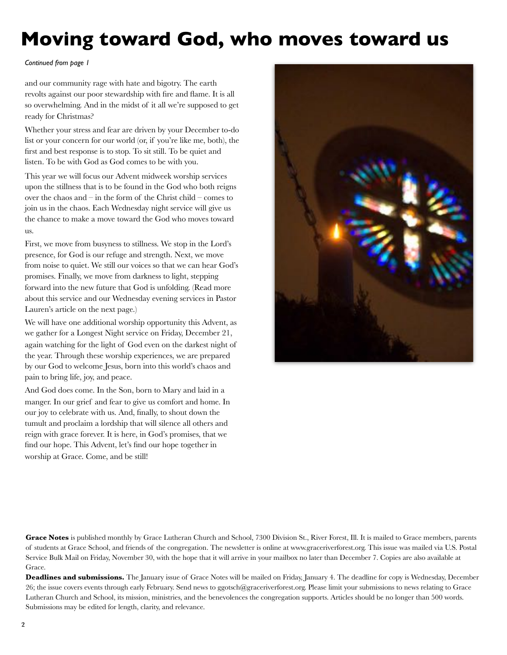# **Moving toward God, who moves toward us**

#### *Continued from page 1*

and our community rage with hate and bigotry. The earth revolts against our poor stewardship with fire and flame. It is all so overwhelming. And in the midst of it all we're supposed to get ready for Christmas?

Whether your stress and fear are driven by your December to-do list or your concern for our world (or, if you're like me, both), the first and best response is to stop. To sit still. To be quiet and listen. To be with God as God comes to be with you.

This year we will focus our Advent midweek worship services upon the stillness that is to be found in the God who both reigns over the chaos and – in the form of the Christ child – comes to join us in the chaos. Each Wednesday night service will give us the chance to make a move toward the God who moves toward us.

First, we move from busyness to stillness. We stop in the Lord's presence, for God is our refuge and strength. Next, we move from noise to quiet. We still our voices so that we can hear God's promises. Finally, we move from darkness to light, stepping forward into the new future that God is unfolding. (Read more about this service and our Wednesday evening services in Pastor Lauren's article on the next page.)

We will have one additional worship opportunity this Advent, as we gather for a Longest Night service on Friday, December 21, again watching for the light of God even on the darkest night of the year. Through these worship experiences, we are prepared by our God to welcome Jesus, born into this world's chaos and pain to bring life, joy, and peace.

And God does come. In the Son, born to Mary and laid in a manger. In our grief and fear to give us comfort and home. In our joy to celebrate with us. And, finally, to shout down the tumult and proclaim a lordship that will silence all others and reign with grace forever. It is here, in God's promises, that we find our hope. This Advent, let's find our hope together in worship at Grace. Come, and be still!



Grace Notes is published monthly by Grace Lutheran Church and School, 7300 Division St., River Forest, Ill. It is mailed to Grace members, parents of students at Grace School, and friends of the congregation. The newsletter is online at www.graceriverforest.org. This issue was mailed via U.S. Postal Service Bulk Mail on Friday, November 30, with the hope that it will arrive in your mailbox no later than December 7. Copies are also available at Grace.

**Deadlines and submissions.** The January issue of Grace Notes will be mailed on Friday, January 4. The deadline for copy is Wednesday, December 26; the issue covers events through early February. Send news to ggotsch@graceriverforest.org. Please limit your submissions to news relating to Grace Lutheran Church and School, its mission, ministries, and the benevolences the congregation supports. Articles should be no longer than 500 words. Submissions may be edited for length, clarity, and relevance.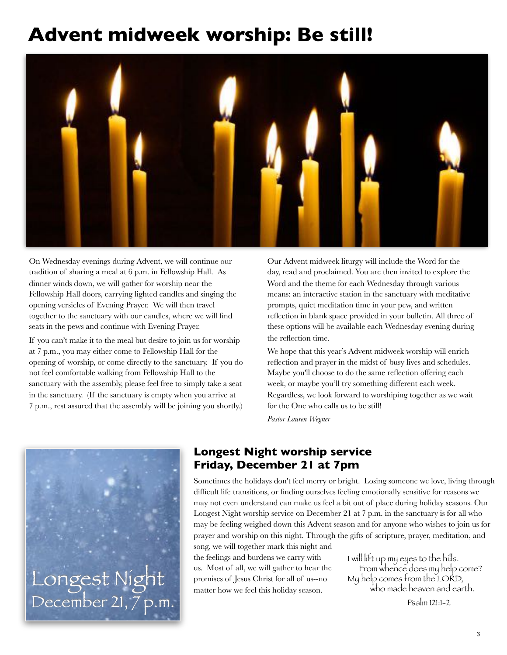# **Advent midweek worship: Be still!**



On Wednesday evenings during Advent, we will continue our tradition of sharing a meal at 6 p.m. in Fellowship Hall. As dinner winds down, we will gather for worship near the Fellowship Hall doors, carrying lighted candles and singing the opening versicles of Evening Prayer. We will then travel together to the sanctuary with our candles, where we will find seats in the pews and continue with Evening Prayer.

If you can't make it to the meal but desire to join us for worship at 7 p.m., you may either come to Fellowship Hall for the opening of worship, or come directly to the sanctuary. If you do not feel comfortable walking from Fellowship Hall to the sanctuary with the assembly, please feel free to simply take a seat in the sanctuary. (If the sanctuary is empty when you arrive at 7 p.m., rest assured that the assembly will be joining you shortly.) Our Advent midweek liturgy will include the Word for the day, read and proclaimed. You are then invited to explore the Word and the theme for each Wednesday through various means: an interactive station in the sanctuary with meditative prompts, quiet meditation time in your pew, and written reflection in blank space provided in your bulletin. All three of these options will be available each Wednesday evening during the reflection time.

We hope that this year's Advent midweek worship will enrich reflection and prayer in the midst of busy lives and schedules. Maybe you'll choose to do the same reflection offering each week, or maybe you'll try something different each week. Regardless, we look forward to worshiping together as we wait for the One who calls us to be still!

*Pastor Lauren Wegner*



### **Longest Night worship service Friday, December 21 at 7pm**

Sometimes the holidays don't feel merry or bright. Losing someone we love, living through difficult life transitions, or finding ourselves feeling emotionally sensitive for reasons we may not even understand can make us feel a bit out of place during holiday seasons. Our Longest Night worship service on December 21 at 7 p.m. in the sanctuary is for all who may be feeling weighed down this Advent season and for anyone who wishes to join us for prayer and worship on this night. Through the gifts of scripture, prayer, meditation, and song, we will together mark this night and

the feelings and burdens we carry with us. Most of all, we will gather to hear the promises of Jesus Christ for all of us--no

I will lift up my eyes to the hills. From whence does my help come? My help comes from the LORD, who made heaven and earth.

 Psalm 121:1-2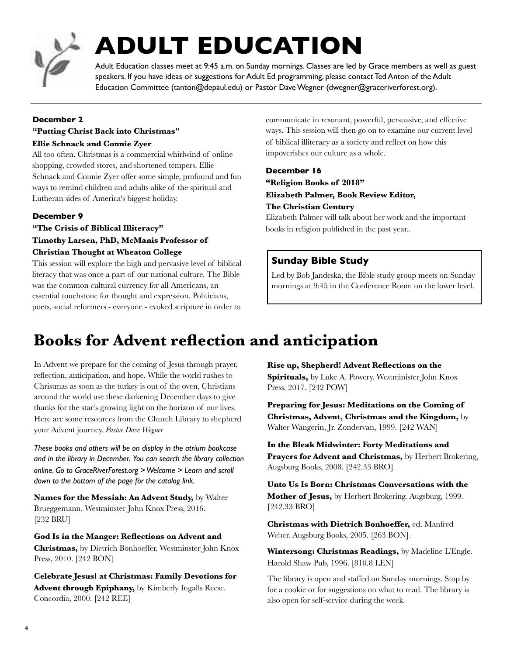

# **ADULT EDUCATION**

Adult Education classes meet at 9:45 a.m. on Sunday mornings. Classes are led by Grace members as well as guest speakers. If you have ideas or suggestions for Adult Ed programming, please contact Ted Anton of the Adult Education Committee (tanton@depaul.edu) or Pastor Dave Wegner (dwegner@graceriverforest.org).

#### **December 2**

#### **"Putting Christ Back into Christmas"**

#### **Ellie Schnack and Connie Zyer**

All too often, Christmas is a commercial whirlwind of online shopping, crowded stores, and shortened tempers. Ellie Schnack and Connie Zyer offer some simple, profound and fun ways to remind children and adults alike of the spiritual and Lutheran sides of America's biggest holiday.

#### **December 9**

**"The Crisis of Biblical Illiteracy" Timothy Larsen, PhD, McManis Professor of Christian Thought at Wheaton College**

This session will explore the high and pervasive level of biblical literacy that was once a part of our national culture. The Bible was the common cultural currency for all Americans, an essential touchstone for thought and expression. Politicians, poets, social reformers - everyone - evoked scripture in order to

communicate in resonant, powerful, persuasive, and effective ways. This session will then go on to examine our current level of biblical illiteracy as a society and reflect on how this impoverishes our culture as a whole.

#### **December 16**

**"Religion Books of 2018" Elizabeth Palmer, Book Review Editor, The Christian Century**

Elizabeth Palmer will talk about her work and the important books in religion published in the past year..

### **Sunday Bible Study**

Led by Bob Jandeska, the Bible study group meets on Sunday mornings at 9:45 in the Conference Room on the lower level.

### **Books for Advent reflection and anticipation**

In Advent we prepare for the coming of Jesus through prayer, reflection, anticipation, and hope. While the world rushes to Christmas as soon as the turkey is out of the oven, Christians around the world use these darkening December days to give thanks for the star's growing light on the horizon of our lives. Here are some resources from the Church Library to shepherd your Advent journey. *Pastor Dave Wegner*

*These books and others will be on display in the atrium bookcase and in the library in December. You can search the library collection online. Go to GraceRiverForest.org > Welcome > Learn and scroll down to the bottom of the page for the catalog link.*

**Names for the Messiah: An Advent Study,** by Walter Brueggemann. Westminster John Knox Press, 2016. [232 BRU]

**God Is in the Manger: Reflections on Advent and Christmas,** by Dietrich Bonhoeffer. Westminster John Knox Press, 2010. [242 BON]

**Celebrate Jesus! at Christmas: Family Devotions for Advent through Epiphany,** by Kimberly Ingalls Reese. Concordia, 2000. [242 REE]

**Rise up, Shepherd! Advent Reflections on the Spirituals,** by Luke A. Powery. Westminister John Knox Press, 2017. [242 POW]

**Preparing for Jesus: Meditations on the Coming of Christmas, Advent, Christmas and the Kingdom,** by Walter Wangerin, Jr. Zondervan, 1999. [242 WAN]

**In the Bleak Midwinter: Forty Meditations and Prayers for Advent and Christmas,** by Herbert Brokering, Augsburg Books, 2008. [242.33 BRO]

**Unto Us Is Born: Christmas Conversations with the Mother of Jesus,** by Herbert Brokering. Augsburg, 1999. [242.33 BRO]

**Christmas with Dietrich Bonhoeffer,** ed. Manfred Weber. Augsburg Books, 2005. [263 BON].

**Wintersong: Christmas Readings,** by Madeline L'Engle. Harold Shaw Pub, 1996. [810.8 LEN]

The library is open and staffed on Sunday mornings. Stop by for a cookie or for suggestions on what to read. The library is also open for self-service during the week.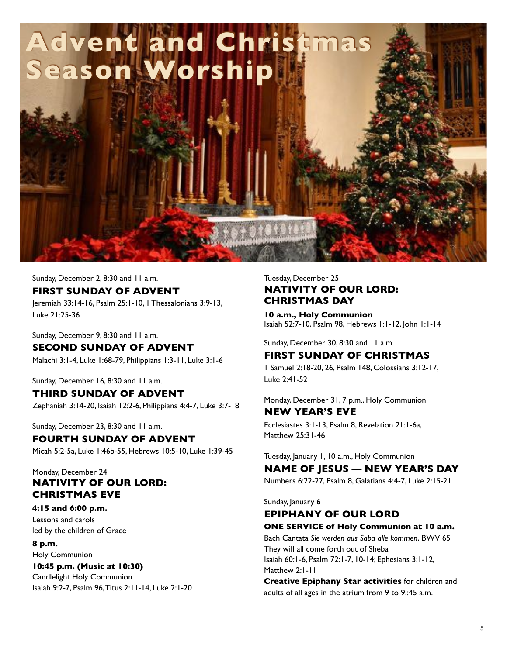

#### Sunday, December 2, 8:30 and 11 a.m.

#### **FIRST SUNDAY OF ADVENT**

Jeremiah 33:14-16, Psalm 25:1-10, 1 Thessalonians 3:9-13, Luke 21:25-36

Sunday, December 9, 8:30 and 11 a.m. **SECOND SUNDAY OF ADVENT** Malachi 3:1-4, Luke 1:68-79, Philippians 1:3-11, Luke 3:1-6

Sunday, December 16, 8:30 and 11 a.m.

### **THIRD SUNDAY OF ADVENT**

Zephaniah 3:14-20, Isaiah 12:2-6, Philippians 4:4-7, Luke 3:7-18

Sunday, December 23, 8:30 and 11 a.m. **FOURTH SUNDAY OF ADVENT**

Micah 5:2-5a, Luke 1:46b-55, Hebrews 10:5-10, Luke 1:39-45

### Monday, December 24 **NATIVITY OF OUR LORD: CHRISTMAS EVE**

### **4:15 and 6:00 p.m.**

Lessons and carols led by the children of Grace

**8 p.m.**

#### Holy Communion **10:45 p.m. (Music at 10:30)**

Candlelight Holy Communion Isaiah 9:2-7, Psalm 96, Titus 2:11-14, Luke 2:1-20

### Tuesday, December 25 **NATIVITY OF OUR LORD: CHRISTMAS DAY**

**10 a.m., Holy Communion**  Isaiah 52:7-10, Psalm 98, Hebrews 1:1-12, John 1:1-14

Sunday, December 30, 8:30 and 11 a.m.

### **FIRST SUNDAY OF CHRISTMAS**

1 Samuel 2:18-20, 26, Psalm 148, Colossians 3:12-17, Luke 2:41-52

### Monday, December 31, 7 p.m., Holy Communion **NEW YEAR'S EVE** Ecclesiastes 3:1-13, Psalm 8, Revelation 21:1-6a,

Matthew 25:31-46

Tuesday, January 1, 10 a.m., Holy Communion

### **NAME OF JESUS — NEW YEAR'S DAY**

Numbers 6:22-27, Psalm 8, Galatians 4:4-7, Luke 2:15-21

Sunday, January 6

### **EPIPHANY OF OUR LORD**

**ONE SERVICE of Holy Communion at 10 a.m.** Bach Cantata *Sie werden aus Saba alle kommen*, BWV 65

They will all come forth out of Sheba Isaiah 60:1-6, Psalm 72:1-7, 10-14; Ephesians 3:1-12, Matthew 2:1-11

**Creative Epiphany Star activities** for children and adults of all ages in the atrium from 9 to 9::45 a.m.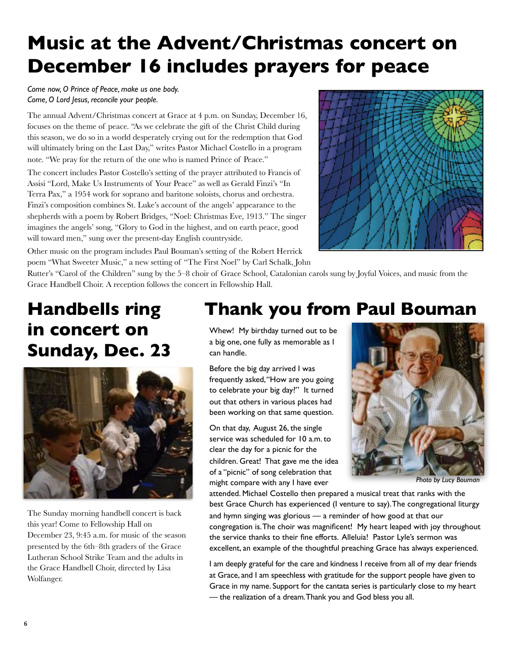# **Music at the Advent/Christmas concert on December 16 includes prayers for peace**

*Come now, O Prince of Peace, make us one body. Come, O Lord Jesus, reconcile your people.*

The annual Advent/Christmas concert at Grace at 4 p.m. on Sunday, December 16, focuses on the theme of peace. "As we celebrate the gift of the Christ Child during this season, we do so in a world desperately crying out for the redemption that God will ultimately bring on the Last Day," writes Pastor Michael Costello in a program note. "We pray for the return of the one who is named Prince of Peace."

The concert includes Pastor Costello's setting of the prayer attributed to Francis of Assisi "Lord, Make Us Instruments of Your Peace" as well as Gerald Finzi's "In Terra Pax," a 1954 work for soprano and baritone soloists, chorus and orchestra. Finzi's composition combines St. Luke's account of the angels' appearance to the shepherds with a poem by Robert Bridges, "Noel: Christmas Eve, 1913." The singer imagines the angels' song, "Glory to God in the highest, and on earth peace, good will toward men," sung over the present-day English countryside.



Other music on the program includes Paul Bouman's setting of the Robert Herrick poem "What Sweeter Music," a new setting of "The First Noel" by Carl Schalk, John

Rutter's "Carol of the Children" sung by the 5–8 choir of Grace School, Catalonian carols sung by Joyful Voices, and music from the Grace Handbell Choir. A reception follows the concert in Fellowship Hall.

# **Handbells ring in concert on Sunday, Dec. 23**



The Sunday morning handbell concert is back this year! Come to Fellowship Hall on December 23, 9:45 a.m. for music of the season presented by the 6th–8th graders of the Grace Lutheran School Strike Team and the adults in the Grace Handbell Choir, directed by Lisa Wolfanger.

# **Thank you from Paul Bouman**

Whew! My birthday turned out to be a big one, one fully as memorable as I can handle.

Before the big day arrived I was frequently asked, "How are you going to celebrate your big day?" It turned out that others in various places had been working on that same question.

On that day, August 26, the single service was scheduled for 10 a.m. to clear the day for a picnic for the children. Great! That gave me the idea of a "picnic" of song celebration that might compare with any I have ever



*Photo by Lucy Bouman*

attended. Michael Costello then prepared a musical treat that ranks with the best Grace Church has experienced (I venture to say). The congregational liturgy and hymn singing was glorious — a reminder of how good at that our congregation is. The choir was magnificent! My heart leaped with joy throughout the service thanks to their fine efforts. Alleluia! Pastor Lyle's sermon was excellent, an example of the thoughtful preaching Grace has always experienced.

I am deeply grateful for the care and kindness I receive from all of my dear friends at Grace, and I am speechless with gratitude for the support people have given to Grace in my name. Support for the cantata series is particularly close to my heart — the realization of a dream. Thank you and God bless you all.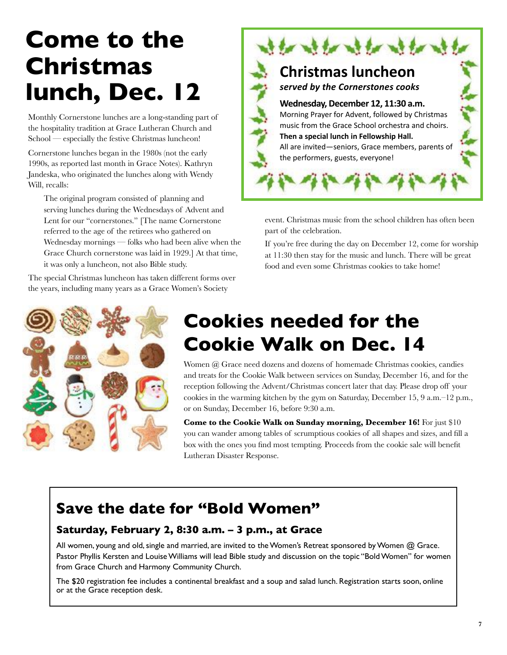# **Come to the Christmas lunch, Dec. 12**

Monthly Cornerstone lunches are a long-standing part of the hospitality tradition at Grace Lutheran Church and School — especially the festive Christmas luncheon!

Cornerstone lunches began in the 1980s (not the early 1990s, as reported last month in Grace Notes). Kathryn Jandeska, who originated the lunches along with Wendy Will, recalls:

The original program consisted of planning and serving lunches during the Wednesdays of Advent and Lent for our "cornerstones." [The name Cornerstone referred to the age of the retirees who gathered on Wednesday mornings — folks who had been alive when the Grace Church cornerstone was laid in 1929.] At that time, it was only a luncheon, not also Bible study.

The special Christmas luncheon has taken different forms over the years, including many years as a Grace Women's Society



event. Christmas music from the school children has often been part of the celebration.

If you're free during the day on December 12, come for worship at 11:30 then stay for the music and lunch. There will be great food and even some Christmas cookies to take home!



# **Cookies needed for the Cookie Walk on Dec. 14**

Women @ Grace need dozens and dozens of homemade Christmas cookies, candies and treats for the Cookie Walk between services on Sunday, December 16, and for the reception following the Advent/Christmas concert later that day. Please drop off your cookies in the warming kitchen by the gym on Saturday, December 15, 9 a.m.–12 p.m., or on Sunday, December 16, before 9:30 a.m.

**Come to the Cookie Walk on Sunday morning, December 16!** For just \$10 you can wander among tables of scrumptious cookies of all shapes and sizes, and fill a box with the ones you find most tempting. Proceeds from the cookie sale will benefit Lutheran Disaster Response.

### **Save the date for "Bold Women"**

### **Saturday, February 2, 8:30 a.m. – 3 p.m., at Grace**

All women, young and old, single and married, are invited to the Women's Retreat sponsored by Women @ Grace. Pastor Phyllis Kersten and Louise Williams will lead Bible study and discussion on the topic "Bold Women" for women from Grace Church and Harmony Community Church.

The \$20 registration fee includes a continental breakfast and a soup and salad lunch. Registration starts soon, online or at the Grace reception desk.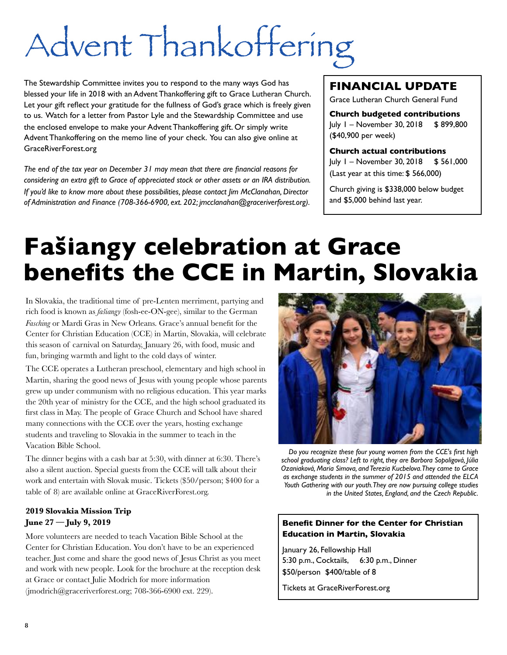# Advent Thankoffering

The Stewardship Committee invites you to respond to the many ways God has blessed your life in 2018 with an Advent Thankoffering gift to Grace Lutheran Church. Let your gift reflect your gratitude for the fullness of God's grace which is freely given to us. Watch for a letter from Pastor Lyle and the Stewardship Committee and use the enclosed envelope to make your Advent Thankoffering gift. Or simply write Advent Thankoffering on the memo line of your check. You can also give online at GraceRiverForest.org

*The end of the tax year on December 31 may mean that there are financial reasons for considering an extra gift to Grace of appreciated stock or other assets or an IRA distribution. If you'd like to know more about these possibilities, please contact Jim McClanahan, Director of Administration and Finance (708-366-6900, ext. 202; jmcclanahan@graceriverforest.org).*

### **FINANCIAL UPDATE**

Grace Lutheran Church General Fund

**Church budgeted contributions** July 1 – November 30, 2018 \$ 899,800 (\$40,900 per week)

**Church actual contributions** July 1 – November 30, 2018 \$ 561,000 (Last year at this time: \$ 566,000)

Church giving is \$338,000 below budget and \$5,000 behind last year.

# **Fašiangy celebration at Grace benefits the CCE in Martin, Slovakia**

In Slovakia, the traditional time of pre-Lenten merriment, partying and rich food is known as *fašiangy* (fosh-ee-ON-gee), similar to the German *Fasching* or Mardi Gras in New Orleans. Grace's annual benefit for the Center for Christian Education (CCE) in Martin, Slovakia, will celebrate this season of carnival on Saturday, January 26, with food, music and fun, bringing warmth and light to the cold days of winter.

The CCE operates a Lutheran preschool, elementary and high school in Martin, sharing the good news of Jesus with young people whose parents grew up under communism with no religious education. This year marks the 20th year of ministry for the CCE, and the high school graduated its first class in May. The people of Grace Church and School have shared many connections with the CCE over the years, hosting exchange students and traveling to Slovakia in the summer to teach in the Vacation Bible School.

The dinner begins with a cash bar at 5:30, with dinner at 6:30. There's also a silent auction. Special guests from the CCE will talk about their work and entertain with Slovak music. Tickets (\$50/person; \$400 for a table of 8) are available online at GraceRiverForest.org.

### **2019 Slovakia Mission Trip June 27 — July 9, 2019**

More volunteers are needed to teach Vacation Bible School at the Center for Christian Education. You don't have to be an experienced teacher. Just come and share the good news of Jesus Christ as you meet and work with new people. Look for the brochure at the reception desk at Grace or contact Julie Modrich for more information (jmodrich@graceriverforest.org; 708-366-6900 ext. 229).



*Do you recognize these four young women from the CCE's first high school graduating class? Left to right, they are Barbora Sopoligová, Júlia Ozaniaková, Maria Simova, and Terezia Kucbelova. They came to Grace as exchange students in the summer of 2015 and attended the ELCA Youth Gathering with our youth. They are now pursuing college studies in the United States, England, and the Czech Republic.*

#### **Benefit Dinner for the Center for Christian Education in Martin, Slovakia**

January 26, Fellowship Hall 5:30 p.m., Cocktails, 6:30 p.m., Dinner \$50/person \$400/table of 8

Tickets at GraceRiverForest.org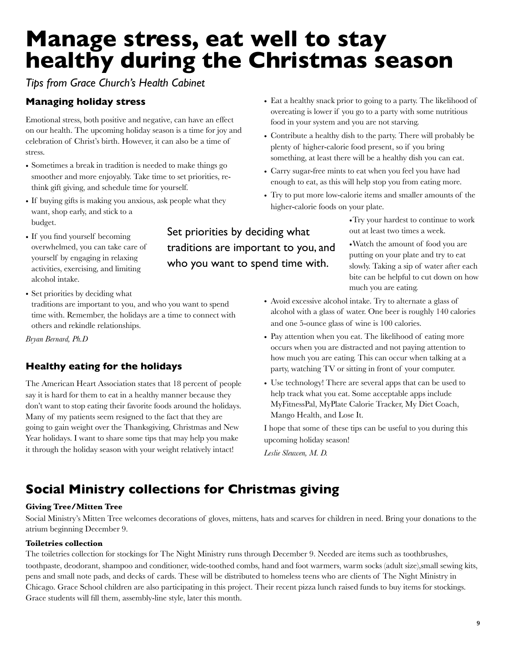# **Manage stress, eat well to stay healthy during the Christmas season**

*Tips from Grace Church's Health Cabinet*

### **Managing holiday stress**

Emotional stress, both positive and negative, can have an effect on our health. The upcoming holiday season is a time for joy and celebration of Christ's birth. However, it can also be a time of stress.

- Sometimes a break in tradition is needed to make things go smoother and more enjoyably. Take time to set priorities, rethink gift giving, and schedule time for yourself.
- If buying gifts is making you anxious, ask people what they want, shop early, and stick to a budget.
- If you find yourself becoming overwhelmed, you can take care of yourself by engaging in relaxing activities, exercising, and limiting alcohol intake.

Set priorities by deciding what traditions are important to you, and who you want to spend time with.

• Set priorities by deciding what traditions are important to you, and who you want to spend time with. Remember, the holidays are a time to connect with others and rekindle relationships.

*Bryan Bernard, Ph.D*

### **Healthy eating for the holidays**

The American Heart Association states that 18 percent of people say it is hard for them to eat in a healthy manner because they don't want to stop eating their favorite foods around the holidays. Many of my patients seem resigned to the fact that they are going to gain weight over the Thanksgiving, Christmas and New Year holidays. I want to share some tips that may help you make it through the holiday season with your weight relatively intact!

- Eat a healthy snack prior to going to a party. The likelihood of overeating is lower if you go to a party with some nutritious food in your system and you are not starving.
- Contribute a healthy dish to the party. There will probably be plenty of higher-calorie food present, so if you bring something, at least there will be a healthy dish you can eat.
- Carry sugar-free mints to eat when you feel you have had enough to eat, as this will help stop you from eating more.
- Try to put more low-calorie items and smaller amounts of the higher-calorie foods on your plate.

•Try your hardest to continue to work out at least two times a week.

•Watch the amount of food you are putting on your plate and try to eat slowly. Taking a sip of water after each bite can be helpful to cut down on how much you are eating.

- Avoid excessive alcohol intake. Try to alternate a glass of alcohol with a glass of water. One beer is roughly 140 calories and one 5-ounce glass of wine is 100 calories.
- Pay attention when you eat. The likelihood of eating more occurs when you are distracted and not paying attention to how much you are eating. This can occur when talking at a party, watching TV or sitting in front of your computer.
- Use technology! There are several apps that can be used to help track what you eat. Some acceptable apps include MyFitnessPal, MyPlate Calorie Tracker, My Diet Coach, Mango Health, and Lose It.

I hope that some of these tips can be useful to you during this upcoming holiday season!

*Leslie Sleuwen, M. D.* 

### **Social Ministry collections for Christmas giving**

### **Giving Tree/Mitten Tree**

Social Ministry's Mitten Tree welcomes decorations of gloves, mittens, hats and scarves for children in need. Bring your donations to the atrium beginning December 9.

#### **Toiletries collection**

The toiletries collection for stockings for The Night Ministry runs through December 9. Needed are items such as toothbrushes, toothpaste, deodorant, shampoo and conditioner, wide-toothed combs, hand and foot warmers, warm socks (adult size),small sewing kits, pens and small note pads, and decks of cards. These will be distributed to homeless teens who are clients of The Night Ministry in Chicago. Grace School children are also participating in this project. Their recent pizza lunch raised funds to buy items for stockings. Grace students will fill them, assembly-line style, later this month.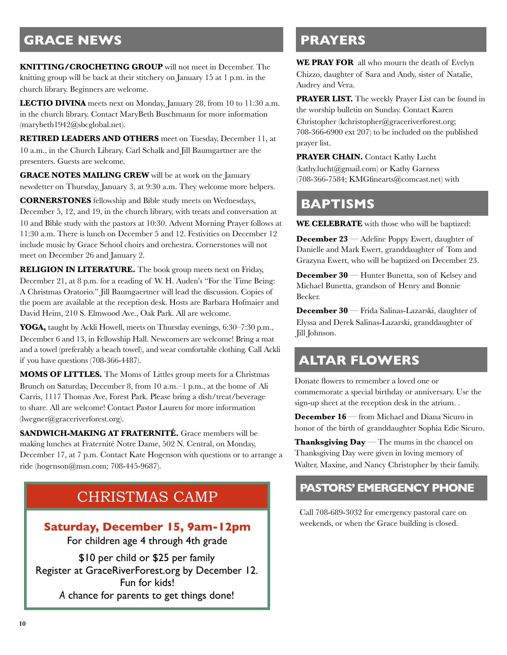### **GRACE NEWS**

**KNITTING/CROCHETING GROUP** will not meet in December. The knitting group will be back at their stitchery on January 15 at 1 p.m. in the church library. Beginners are welcome.

**LECTIO DIVINA** meets next on Monday, January 28, from 10 to 11:30 a.m. in the church library. Contact MaryBeth Buschmann for more information (marybeth1942@sbcglobal.net).

**RETIRED LEADERS AND OTHERS** meet on Tuesday, December 11, at 10 a.m., in the Church Library. Carl Schalk and Jill Baumgartner are the presenters. Guests are welcome.

**GRACE NOTES MAILING CREW** will be at work on the January newsletter on Thursday, January 3, at 9:30 a.m. They welcome more helpers.

**CORNERSTONES** fellowship and Bible study meets on Wednesdays, December 5, 12, and 19, in the church library, with treats and conversation at 10 and Bible study with the pastors at 10:30. Advent Morning Prayer follows at 11:30 a.m. There is lunch on December 5 and 12. Festivities on December 12 include music by Grace School choirs and orchestra. Cornerstones will not meet on December 26 and January 2.

**RELIGION IN LITERATURE.** The book group meets next on Friday, December 21, at 8 p.m. for a reading of W. H. Auden's "For the Time Being: A Christmas Oratorio." Jill Baumgaertner will lead the discussion. Copies of the poem are available at the reception desk. Hosts are Barbara Hofmaier and David Heim, 210 S. Elmwood Ave., Oak Park. All are welcome.

**YOGA,** taught by Ackli Howell, meets on Thursday evenings, 6:30–7:30 p.m., December 6 and 13, in Fellowship Hall. Newcomers are welcome! Bring a mat and a towel (preferably a beach towel), and wear comfortable clothing. Call Ackli if you have questions (708-366-4487).

**MOMS OF LITTLES.** The Moms of Littles group meets for a Christmas Brunch on Saturday, December 8, from 10 a.m.–1 p.m., at the home of Ali Carris, 1117 Thomas Ave, Forest Park. Please bring a dish/treat/beverage to share. All are welcome! Contact Pastor Lauren for more information (lwegner@graceriverforest.org).

**SANDWICH-MAKING AT FRATERNITÉ.** Grace members will be making lunches at Fraternité Notre Dame, 502 N. Central, on Monday, December 17, at 7 p.m. Contact Kate Hogenson with questions or to arrange a ride (hogenson@msn.com; 708-445-9687).

### CHRISTMAS CAMP

### **Saturday, December 15, 9am-12pm**

For children age 4 through 4th grade

\$10 per child or \$25 per family Register at GraceRiverForest.org by December 12. Fun for kids! *A* chance for parents to get things done!

### **PRAYERS**

**WE PRAY FOR** all who mourn the death of Evelyn Chizzo, daughter of Sara and Andy, sister of Natalie, Audrey and Vera.

**PRAYER LIST.** The weekly Prayer List can be found in the worship bulletin on Sunday. Contact Karen Christopher (kchristopher@graceriverforest.org; 708-366-6900 ext 207) to be included on the published prayer list.

**PRAYER CHAIN.** Contact Kathy Lucht (kathy.lucht@gmail.com) or Kathy Garness (708-366-7584; KMGfinearts@comcast.net) with

### **BAPTISMS**

**WE CELEBRATE** with those who will be baptized:

**December 23** — Adeline Poppy Ewert, daughter of Danielle and Mark Ewert, granddaughter of Tom and Grazyna Ewert, who will be baptized on December 23.

**December 30** — Hunter Bunetta, son of Kelsey and Michael Bunetta, grandson of Henry and Bonnie Becker.

**December 30** — Frida Salinas-Lazarski, daughter of Elyssa and Derek Salinas-Lazarski, granddaughter of Jill Johnson.

### **ALTAR FLOWERS**

Donate flowers to remember a loved one or commemorate a special birthday or anniversary. Use the sign-up sheet at the reception desk in the atrium. .

**December 16** — from Michael and Diana Sicuro in honor of the birth of granddaughter Sophia Edie Sicuro.

**Thanksgiving Day** — The mums in the chancel on Thanksgiving Day were given in loving memory of Walter, Maxine, and Nancy Christopher by their family.

### **PASTORS' EMERGENCY PHONE**

Call 708-689-3032 for emergency pastoral care on weekends, or when the Grace building is closed.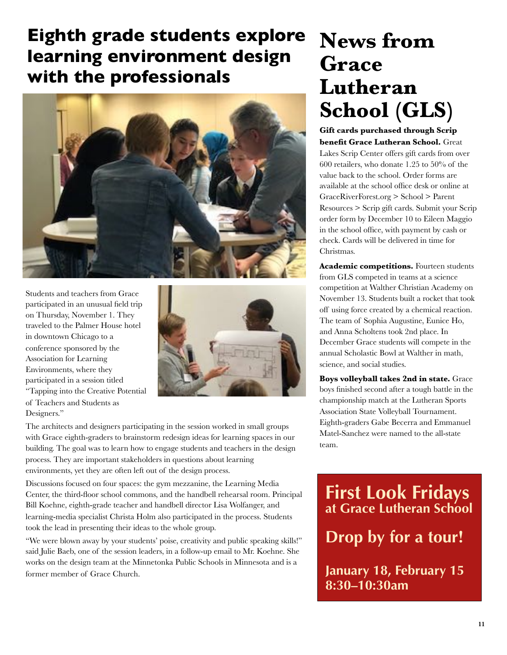## **Eighth grade students explore learning environment design with the professionals**



Students and teachers from Grace participated in an unusual field trip on Thursday, November 1. They traveled to the Palmer House hotel in downtown Chicago to a conference sponsored by the Association for Learning Environments, where they participated in a session titled "Tapping into the Creative Potential of Teachers and Students as Designers."



The architects and designers participating in the session worked in small groups with Grace eighth-graders to brainstorm redesign ideas for learning spaces in our building. The goal was to learn how to engage students and teachers in the design process. They are important stakeholders in questions about learning environments, yet they are often left out of the design process.

Discussions focused on four spaces: the gym mezzanine, the Learning Media Center, the third-floor school commons, and the handbell rehearsal room. Principal Bill Koehne, eighth-grade teacher and handbell director Lisa Wolfanger, and learning-media specialist Christa Holm also participated in the process. Students took the lead in presenting their ideas to the whole group.

"We were blown away by your students' poise, creativity and public speaking skills!" said Julie Baeb, one of the session leaders, in a follow-up email to Mr. Koehne. She works on the design team at the Minnetonka Public Schools in Minnesota and is a former member of Grace Church.

# **News from Grace Lutheran School (GLS)**

**Gift cards purchased through Scrip benefit Grace Lutheran School.** Great Lakes Scrip Center offers gift cards from over 600 retailers, who donate 1.25 to 50% of the value back to the school. Order forms are available at the school office desk or online at GraceRiverForest.org > School > Parent Resources > Scrip gift cards. Submit your Scrip order form by December 10 to Eileen Maggio in the school office, with payment by cash or check. Cards will be delivered in time for Christmas.

Academic competitions. Fourteen students from GLS competed in teams at a science competition at Walther Christian Academy on November 13. Students built a rocket that took off using force created by a chemical reaction. The team of Sophia Augustine, Eunice Ho, and Anna Scholtens took 2nd place. In December Grace students will compete in the annual Scholastic Bowl at Walther in math, science, and social studies.

**Boys volleyball takes 2nd in state.** Grace boys finished second after a tough battle in the championship match at the Lutheran Sports Association State Volleyball Tournament. Eighth-graders Gabe Becerra and Emmanuel Matel-Sanchez were named to the all-state team.

**First Look Fridays at Grace Lutheran School** 

**Drop by for a tour!** 

**January 18, February 15 8:30–10:30am**